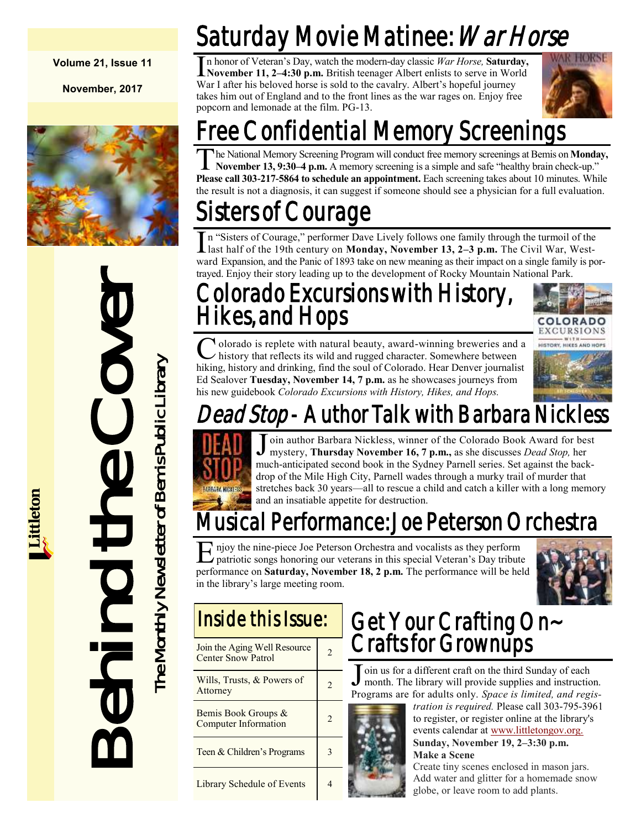#### **Volume 21, Issue 11**

**November, 2017**



Behind the Cover The Monthly Newsletter of Bemis Public Library The Monthly Newsletter of Bemis Public Library

# Saturday Movie Matinee: *War Horse*

In honor of Veteran's Day, watch the modern-day classic War Horse, **Saturday,**<br>November 11, 2–4:30 p.m. British teenager Albert enlists to serve in World n honor of Veteran's Day, watch the modern-day classic *War Horse,* **Saturday,** War I after his beloved horse is sold to the cavalry. Albert's hopeful journey takes him out of England and to the front lines as the war rages on. Enjoy free popcorn and lemonade at the film. PG-13.



## Free Confidential Memory Screenings

T he National Memory Screening Program will conduct free memory screenings at Bemis on **Monday, November 13, 9:30–4 p.m.** A memory screening is a simple and safe "healthy brain check-up." **Please call 303-217-5864 to schedule an appointment.** Each screening takes about 10 minutes. While the result is not a diagnosis, it can suggest if someone should see a physician for a full evaluation.

## isters of Courage

In "Sisters of Courage," performer Dave Lively follows one family through the turmoil of the last half of the 19th century on **Monday, November 13, 2–3 p.m.** The Civil War, Westn "Sisters of Courage," performer Dave Lively follows one family through the turmoil of the ward Expansion, and the Panic of 1893 take on new meaning as their impact on a single family is portrayed. Enjoy their story leading up to the development of Rocky Mountain National Park.

### Colorado Excursions with History, Hikes, and Hops



C olorado is replete with natural beauty, award-winning breweries and a history that reflects its wild and rugged character. Somewhere between hiking, history and drinking, find the soul of Colorado. Hear Denver journalist **T** olorado is replete with natural beauty, award-winning breweries and a history that reflects its wild and rugged character. Somewhere between Ed Sealover **Tuesday, November 14, 7 p.m.** as he showcases journeys from his new guidebook *Colorado Excursions with History, Hikes, and Hops.*



# *ead Stop* - Author Talk with Barbara Nickl



J oin author Barbara Nickless, winner of the Colorado Book Award for best<br>mystery, Thursday November 16, 7 p.m., as she discusses *Dead Stop*, her mystery, **Thursday November 16, 7 p.m.,** as she discusses *Dead Stop,* her much-anticipated second book in the Sydney Parnell series. Set against the backdrop of the Mile High City, Parnell wades through a murky trail of murder that stretches back 30 years—all to rescue a child and catch a killer with a long memory and an insatiable appetite for destruction.

## usical Performance: Joe Peterson Orchestra

E njoy the nine-piece Joe Peterson Orchestra and vocalists as they perform<br>patriotic songs honoring our veterans in this special Veteran's Day tribute<br>performance on **Saturday, November 18, 2 p.m.** The performance will be njoy the nine-piece Joe Peterson Orchestra and vocalists as they perform patriotic songs honoring our veterans in this special Veteran's Day tribute in the library's large meeting room.



## Inside this Issue:

| Join the Aging Well Resource<br><b>Center Snow Patrol</b> | 2 |
|-----------------------------------------------------------|---|
| Wills, Trusts, $&$ Powers of<br>Attorney                  |   |
| Bemis Book Groups &<br><b>Computer Information</b>        |   |
| Teen & Children's Programs                                |   |
| Library Schedule of Events                                |   |

#### Get Your Crafting On~ Crafts for Grownups

J oin us for a different craft on the third Sunday of each month. The library will provide supplies and instruction. Programs are for adults only. *Space is limited, and regis-*



*tration is required.* Please call 303-795-3961 to register, or register online at the library's events calendar at [www.littletongov.org.](https://www.littletongov.org/city-services/city-departments/bemis-library/library-events-calendar) **Sunday, November 19, 2–3:30 p.m. Make a Scene**

Create tiny scenes enclosed in mason jars. Add water and glitter for a homemade snow globe, or leave room to add plants.

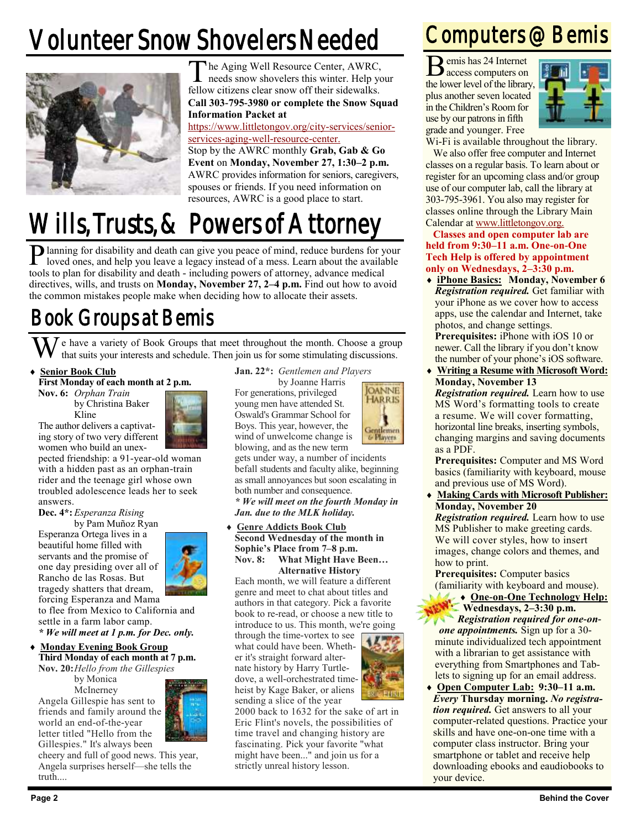# Volunteer Snow Shovelers Needed



The Aging Well Resource Center, AWRC,<br>needs snow shovelers this winter. Help yo needs snow shovelers this winter. Help your fellow citizens clear snow off their sidewalks. **Call 303-795-3980 or complete the Snow Squad Information Packet at** 

#### [https://www.littletongov.org/city-services/senior-](https://www.littletongov.org/city-services/senior-services-aging-well-resource-center)

[services-aging-well-resource-center.](https://www.littletongov.org/city-services/senior-services-aging-well-resource-center) Stop by the AWRC monthly **Grab, Gab & Go Event** on **Monday, November 27, 1:30–2 p.m.**  AWRC provides information for seniors, caregivers, spouses or friends. If you need information on resources, AWRC is a good place to start.

# Wills, Trusts, & Powers of Attorney

P lanning for disability and death can give you peace of mind, reduce burdens for your loved ones, and help you leave a legacy instead of a mess. Learn about the available loved ones, and help you leave a legacy instead of a mess. Learn about the available tools to plan for disability and death - including powers of attorney, advance medical directives, wills, and trusts on **Monday, November 27, 2–4 p.m.** Find out how to avoid the common mistakes people make when deciding how to allocate their assets.

### Book Groups at Bemis

We have a variety of Book Groups that meet throughout the month. Choose a group that suits your interests and schedule. Then join us for some stimulating discussions.

#### **Senior Book Club**

Kline

**First Monday of each month at 2 p.m.**

**Nov. 6:** *Orphan Train* by Christina Baker

The author delivers a captivating story of two very different women who build an unex-

pected friendship: a 91-year-old woman with a hidden past as an orphan-train rider and the teenage girl whose own troubled adolescence leads her to seek answers.

#### **Dec. 4\*:** *Esperanza Rising*

by Pam Muñoz Ryan

Esperanza Ortega lives in a beautiful home filled with servants and the promise of one day presiding over all of Rancho de las Rosas. But tragedy shatters that dream, forcing Esperanza and Mama

to flee from Mexico to California and settle in a farm labor camp.

*\* We will meet at 1 p.m. for Dec. only.*

#### **Monday Evening Book Group Third Monday of each month at 7 p.m. Nov. 20:***Hello from the Gillespies*

by Monica **McInerney** 

Angela Gillespie has sent to friends and family around the world an end-of-the-year letter titled "Hello from the Gillespies." It's always been



cheery and full of good news. This year, Angela surprises herself—she tells the truth....

**Jan. 22\*:** *Gentlemen and Players*

by Joanne Harris

For generations, privileged young men have attended St. Oswald's Grammar School for Boys. This year, however, the wind of unwelcome change is blowing, and as the new term



gets under way, a number of incidents befall students and faculty alike, beginning as small annoyances but soon escalating in both number and consequence. *\* We will meet on the fourth Monday in* 

*Jan. due to the MLK holiday.*

#### **Genre Addicts Book Club Second Wednesday of the month in Sophie's Place from 7–8 p.m. Nov. 8: What Might Have Been… Alternative History**

Each month, we will feature a different genre and meet to chat about titles and authors in that category. Pick a favorite book to re-read, or choose a new title to introduce to us. This month, we're going

through the time-vortex to see what could have been. Whether it's straight forward alternate history by Harry Turtledove, a well-orchestrated timeheist by Kage Baker, or aliens sending a slice of the year



2000 back to 1632 for the sake of art in Eric Flint's novels, the possibilities of time travel and changing history are fascinating. Pick your favorite "what might have been..." and join us for a strictly unreal history lesson.

### Computers @ Bemis

B emis has 24 Internet access computers on the lower level of the library, plus another seven located in the Children's Room for use by our patrons in fifth grade and younger. Free



Wi-Fi is available throughout the library.

We also offer free computer and Internet classes on a regular basis. To learn about or register for an upcoming class and/or group use of our computer lab, call the library at 303-795-3961. You also may register for classes online through the Library Main Calendar at [www.littletongov.org.](https://www.littletongov.org/city-services/city-departments/bemis-library/library-events-calendar/-curm-11/-cury-2017)

**Classes and open computer lab are held from 9:30–11 a.m. One-on-One Tech Help is offered by appointment only on Wednesdays, 2–3:30 p.m.**

- **iPhone Basics: Monday, November 6** *Registration required.* Get familiar with your iPhone as we cover how to access apps, use the calendar and Internet, take photos, and change settings. **Prerequisites:** iPhone with iOS 10 or newer. Call the library if you don't know the number of your phone's iOS software.
- **Writing a Resume with Microsoft Word: Monday, November 13**

*Registration required.* Learn how to use MS Word's formatting tools to create a resume. We will cover formatting, horizontal line breaks, inserting symbols, changing margins and saving documents as a PDF.

**Prerequisites:** Computer and MS Word basics (familiarity with keyboard, mouse and previous use of MS Word).

 **Making Cards with Microsoft Publisher: Monday, November 20** *Registration required.* Learn how to use MS Publisher to make greeting cards. We will cover styles, how to insert images, change colors and themes, and how to print.

**Prerequisites:** Computer basics (familiarity with keyboard and mouse).

- **Contact Acts** + One-on-One Technology Help: **Wednesdays, 2–3:30 p.m.** *Registration required for one-onone appointments.* Sign up for a 30 minute individualized tech appointment with a librarian to get assistance with everything from Smartphones and Tablets to signing up for an email address.
- **Open Computer Lab: 9:30–11 a.m.** *Every* **Thursday morning.** *No registration required.* Get answers to all your computer-related questions. Practice your skills and have one-on-one time with a computer class instructor. Bring your smartphone or tablet and receive help downloading ebooks and eaudiobooks to your device.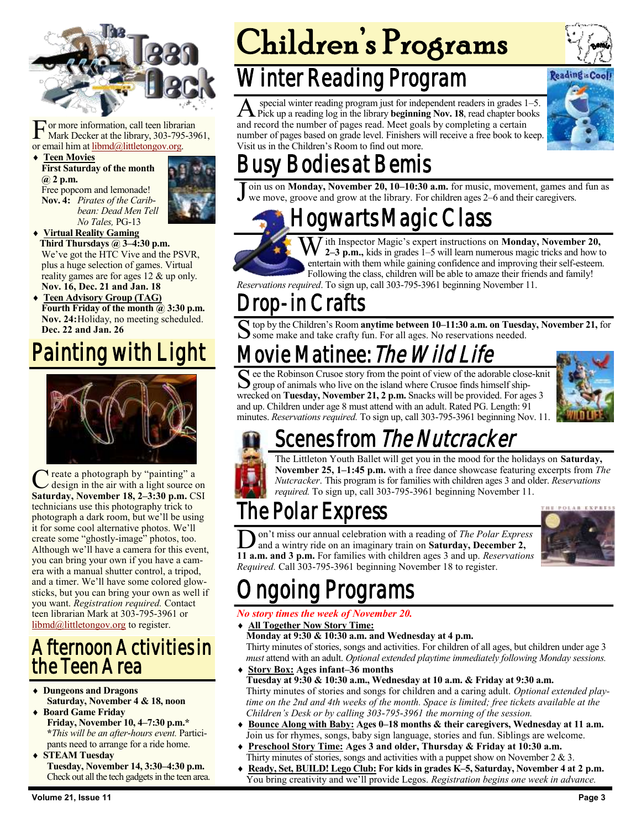

For more information, call teen librar<br>Mark Decker at the library, 303-795<br>or email him at <u>libmd@littletongov.org</u>. or more information, call teen librarian Mark Decker at the library, 303-795-3961,

 **Teen Movies First Saturday of the month @ 2 p.m.** Free popcorn and lemonade! **Nov. 4:** *Pirates of the Caribbean: Dead Men Tell No Tales,* PG-13



- **Virtual Reality Gaming Third Thursdays @ 3–4:30 p.m.** We've got the HTC Vive and the PSVR, plus a huge selection of games. Virtual reality games are for ages 12 & up only. **Nov. 16, Dec. 21 and Jan. 18**
- **Teen Advisory Group (TAG) Fourth Friday of the month @ 3:30 p.m. Nov. 24:**Holiday, no meeting scheduled. **Dec. 22 and Jan. 26**

### Painting with Light



C reate a photograph by "painting" a<br>design in the air with a light source on<br>Saturday, November 18, 2–3:30 p.m. CSI Treate a photograph by "painting" a design in the air with a light source on technicians use this photography trick to photograph a dark room, but we'll be using it for some cool alternative photos. We'll create some "ghostly-image" photos, too. Although we'll have a camera for this event, you can bring your own if you have a camera with a manual shutter control, a tripod, and a timer. We'll have some colored glowsticks, but you can bring your own as well if you want. *Registration required.* Contact teen librarian Mark at 303-795-3961 or [libmd@littletongov.org](mailto:libmd@littletongov.org) to register.

#### Afternoon Activities in the Teen Area

- **Dungeons and Dragons Saturday, November 4 & 18, noon**
- **Board Game Friday Friday, November 10, 4–7:30 p.m.\* \****This will be an after-hours event.* Participants need to arrange for a ride home.
- **STEAM Tuesday Tuesday, November 14, 3:30–4:30 p.m.** Check out all the tech gadgets in the teen area.

## Winter Reading Program

A special winter reading program just for independent readers in grades 1–5.<br>Pick up a reading log in the library **beginning Nov. 18**, read chapter books special winter reading program just for independent readers in grades 1–5. and record the number of pages read. Meet goals by completing a certain number of pages based on grade level. Finishers will receive a free book to keep. Visit us in the Children's Room to find out more.



## Busy Bodies at Bemis

 $\overline{\text{J}}$ oin us on **Monday, November 20, 10–10:30 a.m.** for music, movement, games and fun as we move, groove and grow at the library. For children ages 2–6 and their caregivers.

Hogwarts Magic Class

*T* ith Inspector Magic's expert instructions on **Monday**, November 20, **2–3 p.m.,** kids in grades 1–5 will learn numerous magic tricks and how to entertain with them while gaining confidence and improving their self-esteem. Following the class, children will be able to amaze their friends and family!

*Reservations required*. To sign up, call 303-795-3961 beginning November 11.

#### rop-in Crafts

S top by the Children's Room **anytime between 10–11:30 a.m. on Tuesday, November 21,** for some make and take crafty fun. For all ages. No reservations needed.

## 1ovie Matinee: *The Wild Life*

See the Robinson Crusoe story from the point of view of the adorable close group of animals who live on the island where Crusoe finds himself shipee the Robinson Crusoe story from the point of view of the adorable close-knit wrecked on **Tuesday, November 21, 2 p.m.** Snacks will be provided. For ages 3 and up. Children under age 8 must attend with an adult. Rated PG. Length: 91 minutes. *Reservations required.* To sign up, call 303-795-3961 beginning Nov. 11.



## Scenes from *The Nutcracker*

The Littleton Youth Ballet will get you in the mood for the holidays on **Saturday, November 25, 1–1:45 p.m.** with a free dance showcase featuring excerpts from *The Nutcracker*. This program is for families with children ages 3 and older. *Reservations required.* To sign up, call 303-795-3961 beginning November 11.

## The Polar Express

**11 a.m. and 3 p.m.** For families with children ages 3 and up. *Reservations* **11 a.m. and 3 p.m.** For families with children ages 3 and up. *Reservations* on't miss our annual celebration with a reading of *The Polar Express*  and a wintry ride on an imaginary train on **Saturday, December 2,**  *Required.* Call 303-795-3961 beginning November 18 to register.



## Ongoing Programs

#### *No story times the week of November 20.*

- **All Together Now Story Time:**
- **Monday at 9:30 & 10:30 a.m. and Wednesday at 4 p.m.** Thirty minutes of stories, songs and activities. For children of all ages, but children under age 3 *must* attend with an adult. *Optional extended playtime immediately following Monday sessions.*
- **Story Box: Ages infant–36 months Tuesday at 9:30 & 10:30 a.m., Wednesday at 10 a.m. & Friday at 9:30 a.m.** Thirty minutes of stories and songs for children and a caring adult. *Optional extended playtime on the 2nd and 4th weeks of the month. Space is limited; free tickets available at the Children's Desk or by calling 303-795-3961 the morning of the session.*
- **Bounce Along with Baby: Ages 0–18 months & their caregivers, Wednesday at 11 a.m.** Join us for rhymes, songs, baby sign language, stories and fun. Siblings are welcome.
- **Preschool Story Time: Ages 3 and older, Thursday & Friday at 10:30 a.m.** Thirty minutes of stories, songs and activities with a puppet show on November  $2 \& 3$ .
- **Ready, Set, BUILD! Lego Club: For kids in grades K–5, Saturday, November 4 at 2 p.m.** You bring creativity and we'll provide Legos. *Registration begins one week in advance.*